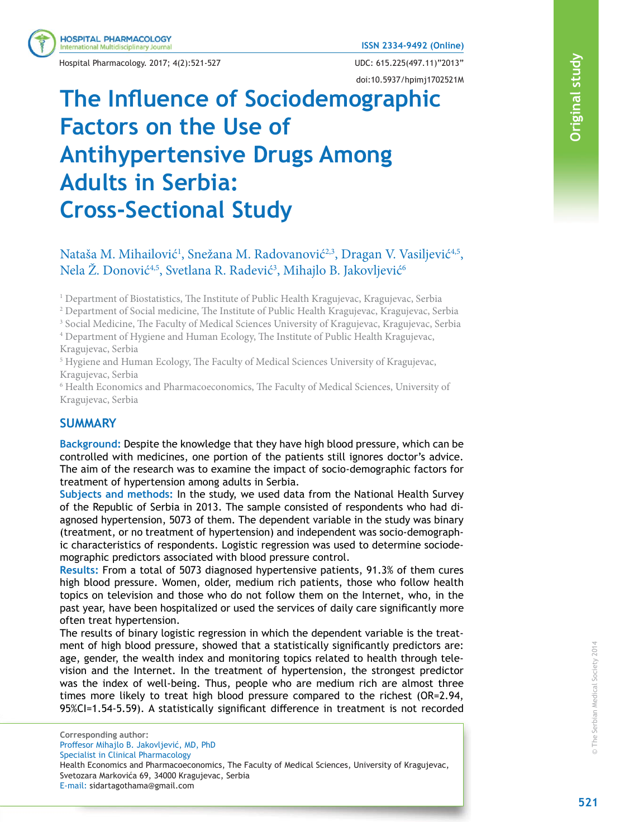Hospital Pharmacology. 2017; 4(2):521-527 UDC: 615.225(497.11)"2013"

**HOSPITAL PHARMACOLOGY** ternational Multidisciplinary Journal

doi:10.5937/hpimj1702521M

# **The Influence of Sociodemographic Factors on the Use of Antihypertensive Drugs Among Adults in Serbia: Cross-Sectional Study**

## **A** Nataša M. Mihailović<sup>1</sup>, Snežana M. Radovanović<sup>2,3</sup>, Dragan V. Vasiljević<sup>4,5</sup>, Nela Ž. Donović<sup>4,5</sup>, Svetlana R. Radević<sup>3</sup>, Mihajlo B. Jakovljević<sup>6</sup>

<sup>1</sup> Department of Biostatistics, The Institute of Public Health Kragujevac, Kragujevac, Serbia

 $^2$  Department of Social medicine, The Institute of Public Health Kragujevac, Kragujevac, Serbia

<sup>3</sup> Social Medicine, The Faculty of Medical Sciences University of Kragujevac, Kragujevac, Serbia<br><sup>4</sup> Department of Hygiene and Human Ecology. The Institute of Public Health Kragujevac

<sup>4</sup> Department of Hygiene and Human Ecology, The Institute of Public Health Kragujevac, Kragujevac, Serbia

<sup>5</sup> Hygiene and Human Ecology, The Faculty of Medical Sciences University of Kragujevac, Kragujevac, Serbia

<sup>6</sup> Health Economics and Pharmacoeconomics, The Faculty of Medical Sciences, University of Kragujevac, Serbia

#### **A SUMMARY**

**Background:** Despite the knowledge that they have high blood pressure, which can be controlled with medicines, one portion of the patients still ignores doctor's advice. The aim of the research was to examine the impact of socio-demographic factors for treatment of hypertension among adults in Serbia.

**Subjects and methods:** In the study, we used data from the National Health Survey of the Republic of Serbia in 2013. The sample consisted of respondents who had diagnosed hypertension, 5073 of them. The dependent variable in the study was binary (treatment, or no treatment of hypertension) and independent was socio-demographic characteristics of respondents. Logistic regression was used to determine sociodemographic predictors associated with blood pressure control.

**Results:** From a total of 5073 diagnosed hypertensive patients, 91.3% of them cures high blood pressure. Women, older, medium rich patients, those who follow health topics on television and those who do not follow them on the Internet, who, in the past year, have been hospitalized or used the services of daily care significantly more often treat hypertension.

The results of binary logistic regression in which the dependent variable is the treatment of high blood pressure, showed that a statistically significantly predictors are: age, gender, the wealth index and monitoring topics related to health through television and the Internet. In the treatment of hypertension, the strongest predictor was the index of well-being. Thus, people who are medium rich are almost three times more likely to treat high blood pressure compared to the richest (OR=2.94, 95%CI=1.54-5.59). A statistically significant difference in treatment is not recorded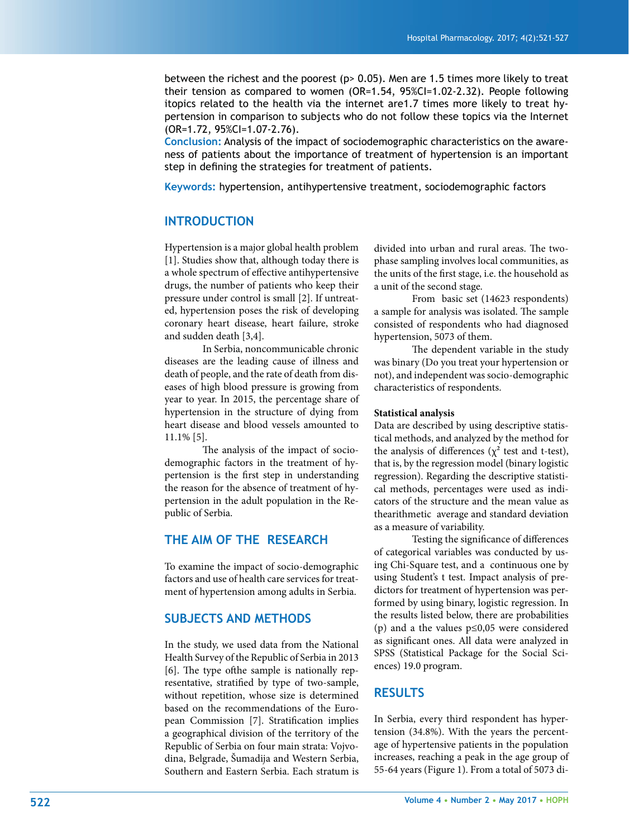between the richest and the poorest (p> 0.05). Men are 1.5 times more likely to treat their tension as compared to women (OR=1.54, 95%CI=1.02-2.32). People following itopics related to the health via the internet are1.7 times more likely to treat hypertension in comparison to subjects who do not follow these topics via the Internet (OR=1.72, 95%CI=1.07-2.76).

**Conclusion:** Analysis of the impact of sociodemographic characteristics on the awareness of patients about the importance of treatment of hypertension is an important step in defining the strategies for treatment of patients.

**Keywords:** hypertension, antihypertensive treatment, sociodemographic factors

#### **INTRODUCTION**

Hypertension is a major global health problem [1]. Studies show that, although today there is a whole spectrum of effective antihypertensive drugs, the number of patients who keep their pressure under control is small [2]. If untreated, hypertension poses the risk of developing coronary heart disease, heart failure, stroke and sudden death [3,4].

 In Serbia, noncommunicable chronic diseases are the leading cause of illness and death of people, and the rate of death from diseases of high blood pressure is growing from year to year. In 2015, the percentage share of hypertension in the structure of dying from heart disease and blood vessels amounted to 11.1% [5].

The analysis of the impact of sociodemographic factors in the treatment of hypertension is the first step in understanding the reason for the absence of treatment of hypertension in the adult population in the Republic of Serbia.

#### **THE AIM OF THE RESEARCH**

To examine the impact of socio-demographic factors and use of health care services for treatment of hypertension among adults in Serbia.

#### **SUBJECTS AND METHODS**

In the study, we used data from the National Health Survey of the Republic of Serbia in 2013  $[6]$ . The type of the sample is nationally representative, stratified by type of two-sample, without repetition, whose size is determined based on the recommendations of the European Commission [7]. Stratification implies a geographical division of the territory of the Republic of Serbia on four main strata: Vojvodina, Belgrade, Šumadija and Western Serbia, Southern and Eastern Serbia. Each stratum is divided into urban and rural areas. The twophase sampling involves local communities, as the units of the first stage, i.e. the household as a unit of the second stage.

 From basic set (14623 respondents) a sample for analysis was isolated. The sample consisted of respondents who had diagnosed hypertension, 5073 of them.

The dependent variable in the study was binary (Do you treat your hypertension or not), and independent was socio-demographic characteristics of respondents.

#### **Statistical analysis**

Data are described by using descriptive statistical methods, and analyzed by the method for the analysis of differences ( $\chi^2$  test and t-test), that is, by the regression model (binary logistic regression). Regarding the descriptive statistical methods, percentages were used as indicators of the structure and the mean value as thearithmetic average and standard deviation as a measure of variability.

Testing the significance of differences of categorical variables was conducted by using Chi-Square test, and a continuous one by using Student's t test. Impact analysis of predictors for treatment of hypertension was performed by using binary, logistic regression. In the results listed below, there are probabilities (p) and a the values p≤0,05 were considered as significant ones. All data were analyzed in SPSS (Statistical Package for the Social Sciences) 19.0 program.

#### **RESULTS**

In Serbia, every third respondent has hypertension (34.8%). With the years the percentage of hypertensive patients in the population increases, reaching a peak in the age group of 55-64 years (Figure 1). From a total of 5073 di-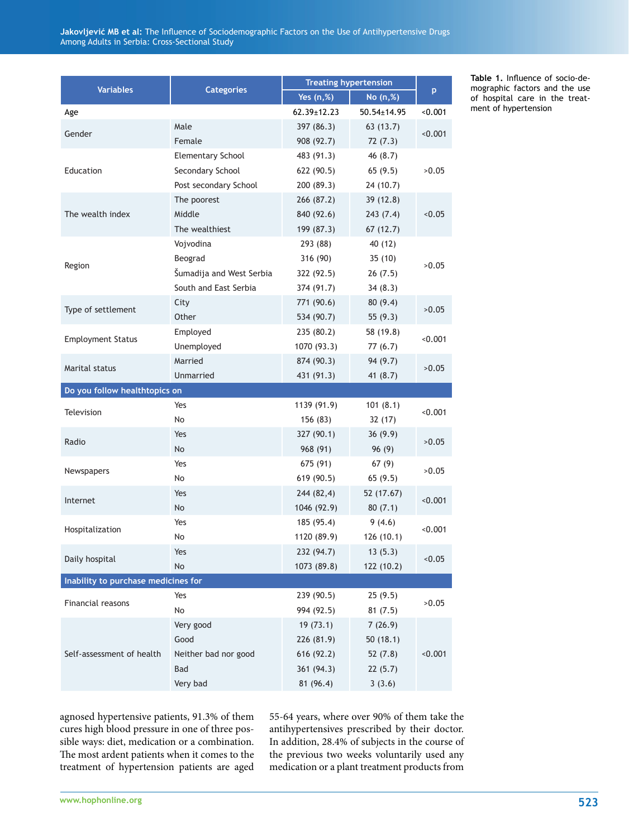Jakovljević MB et al: The Influence of Sociodemographic Factors on the Use of Antihypertensive Drugs Among Adults in Serbia: Cross-Sectional Study

| <b>Variables</b>                    | <b>Categories</b>        | <b>Treating hypertension</b> |             |         |  |  |
|-------------------------------------|--------------------------|------------------------------|-------------|---------|--|--|
|                                     |                          | Yes $(n,%)$                  | No (n,%)    | p.      |  |  |
| Age                                 |                          | $62.39 \pm 12.23$            | 50.54±14.95 | < 0.001 |  |  |
| Gender                              | Male                     | 397 (86.3)                   | 63 (13.7)   | < 0.001 |  |  |
|                                     | Female                   | 908 (92.7)                   | 72(7.3)     |         |  |  |
| Education                           | <b>Elementary School</b> | 483 (91.3)                   | 46 (8.7)    |         |  |  |
|                                     | Secondary School         | 622 (90.5)                   | 65(9.5)     | >0.05   |  |  |
|                                     | Post secondary School    | 200 (89.3)                   | 24(10.7)    |         |  |  |
| The wealth index                    | The poorest              | 266 (87.2)                   | 39(12.8)    |         |  |  |
|                                     | Middle                   | 840 (92.6)                   | 243(7.4)    | 0.05    |  |  |
|                                     | The wealthiest           | 199 (87.3)                   | 67(12.7)    |         |  |  |
| Region                              | Vojvodina                | 293 (88)                     | 40 (12)     |         |  |  |
|                                     | Beograd                  | 316 (90)                     | 35(10)      | >0.05   |  |  |
|                                     | Šumadija and West Serbia | 322 (92.5)                   | 26(7.5)     |         |  |  |
|                                     | South and East Serbia    | 374 (91.7)                   | 34(8.3)     |         |  |  |
|                                     | City                     | 771 (90.6)                   | 80 (9.4)    | >0.05   |  |  |
| Type of settlement                  | Other                    | 534 (90.7)                   | 55 (9.3)    |         |  |  |
| <b>Employment Status</b>            | Employed                 | 235 (80.2)                   | 58 (19.8)   | < 0.001 |  |  |
|                                     | Unemployed               | 1070 (93.3)                  | 77 (6.7)    |         |  |  |
|                                     | Married                  | 874 (90.3)                   | 94(9.7)     | >0.05   |  |  |
| Marital status                      | Unmarried                | 431 (91.3)                   | 41 (8.7)    |         |  |  |
| Do you follow healthtopics on       |                          |                              |             |         |  |  |
|                                     | Yes                      | 1139 (91.9)                  | 101(8.1)    |         |  |  |
| <b>Television</b>                   | No                       | 156 (83)                     | 32(17)      | < 0.001 |  |  |
| Radio                               | Yes                      | 327 (90.1)                   | 36(9.9)     | >0.05   |  |  |
|                                     | <b>No</b>                | 968 (91)                     | 96(9)       |         |  |  |
| Newspapers                          | Yes                      | 675 (91)                     | 67(9)       | >0.05   |  |  |
|                                     | No                       | 619 (90.5)                   | 65(9.5)     |         |  |  |
| Internet                            | Yes                      | 244 (82,4)                   | 52 (17.67)  |         |  |  |
|                                     | No                       | 1046 (92.9)                  | 80(7.1)     | < 0.001 |  |  |
|                                     | Yes                      | 185 (95.4)                   | 9(4.6)      |         |  |  |
| Hospitalization                     | No                       | 1120 (89.9)                  | 126(10.1)   | < 0.001 |  |  |
| Daily hospital                      | Yes                      | 232 (94.7)                   | 13(5.3)     |         |  |  |
|                                     | No                       | 1073 (89.8)                  | 122 (10.2)  | < 0.05  |  |  |
| Inability to purchase medicines for |                          |                              |             |         |  |  |
| Financial reasons                   | Yes                      | 239 (90.5)                   | 25(9.5)     |         |  |  |
|                                     | No                       | 994 (92.5)                   | 81(7.5)     | >0.05   |  |  |
| Self-assessment of health           | Very good                | 19(73.1)                     | 7(26.9)     |         |  |  |
|                                     | Good                     | 226 (81.9)                   | 50 (18.1)   |         |  |  |
|                                     | Neither bad nor good     | 616 (92.2)                   | 52 (7.8)    | < 0.001 |  |  |
|                                     | Bad                      | 361 (94.3)                   | 22(5.7)     |         |  |  |
|                                     | Very bad                 | 81 (96.4)                    | 3(3.6)      |         |  |  |
|                                     |                          |                              |             |         |  |  |

Table 1. Influence of socio-demographic factors and the use of hospital care in the treatment of hypertension

agnosed hypertensive patients, 91.3% of them cures high blood pressure in one of three possible ways: diet, medication or a combination. The most ardent patients when it comes to the treatment of hypertension patients are aged

55-64 years, where over 90% of them take the antihypertensives prescribed by their doctor. In addition, 28.4% of subjects in the course of the previous two weeks voluntarily used any medication or a plant treatment products from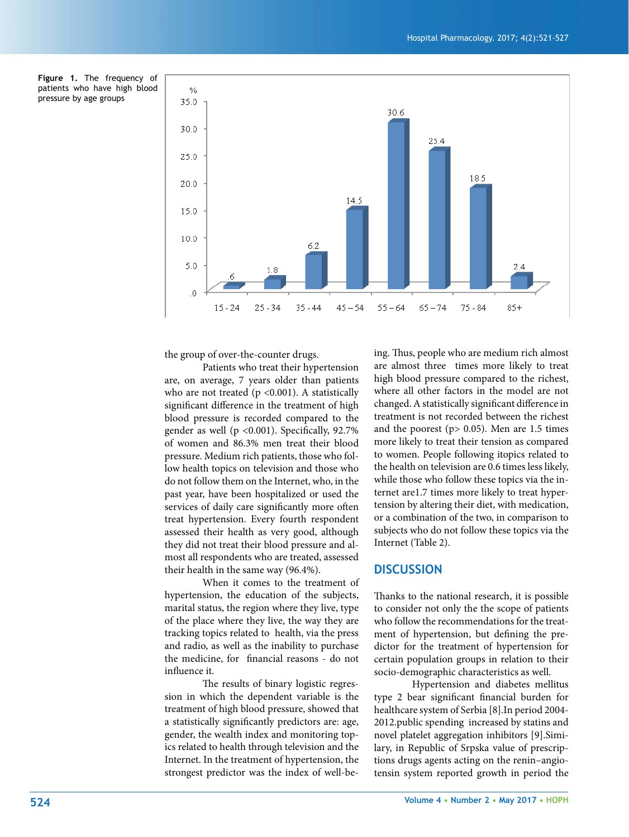**Figure 1.** The frequency of patients who have high blood pressure by age groups



the group of over-the-counter drugs.

 Patients who treat their hypertension are, on average, 7 years older than patients who are not treated  $(p \le 0.001)$ . A statistically significant difference in the treatment of high blood pressure is recorded compared to the gender as well ( $p$  <0.001). Specifically, 92.7% of women and 86.3% men treat their blood pressure. Medium rich patients, those who follow health topics on television and those who do not follow them on the Internet, who, in the past year, have been hospitalized or used the services of daily care significantly more often treat hypertension. Every fourth respondent assessed their health as very good, although they did not treat their blood pressure and almost all respondents who are treated, assessed their health in the same way (96.4%).

 When it comes to the treatment of hypertension, the education of the subjects, marital status, the region where they live, type of the place where they live, the way they are tracking topics related to health, via the press and radio, as well as the inability to purchase the medicine, for financial reasons - do not influence it.

The results of binary logistic regression in which the dependent variable is the treatment of high blood pressure, showed that a statistically significantly predictors are: age, gender, the wealth index and monitoring topics related to health through television and the Internet. In the treatment of hypertension, the strongest predictor was the index of well-being. Thus, people who are medium rich almost are almost three times more likely to treat high blood pressure compared to the richest, where all other factors in the model are not changed. A statistically significant difference in treatment is not recorded between the richest and the poorest ( $p > 0.05$ ). Men are 1.5 times more likely to treat their tension as compared to women. People following itopics related to the health on television are 0.6 times less likely, while those who follow these topics via the internet are1.7 times more likely to treat hypertension by altering their diet, with medication, or a combination of the two, in comparison to subjects who do not follow these topics via the Internet (Table 2).

#### **DISCUSSION**

Thanks to the national research, it is possible to consider not only the the scope of patients who follow the recommendations for the treatment of hypertension, but defining the predictor for the treatment of hypertension for certain population groups in relation to their socio-demographic characteristics as well.

 Hypertension and diabetes mellitus type 2 bear significant financial burden for healthcare system of Serbia [8].In period 2004- 2012.public spending increased by statins and novel platelet aggregation inhibitors [9].Similary, in Republic of Srpska value of prescriptions drugs agents acting on the renin–angiotensin system reported growth in period the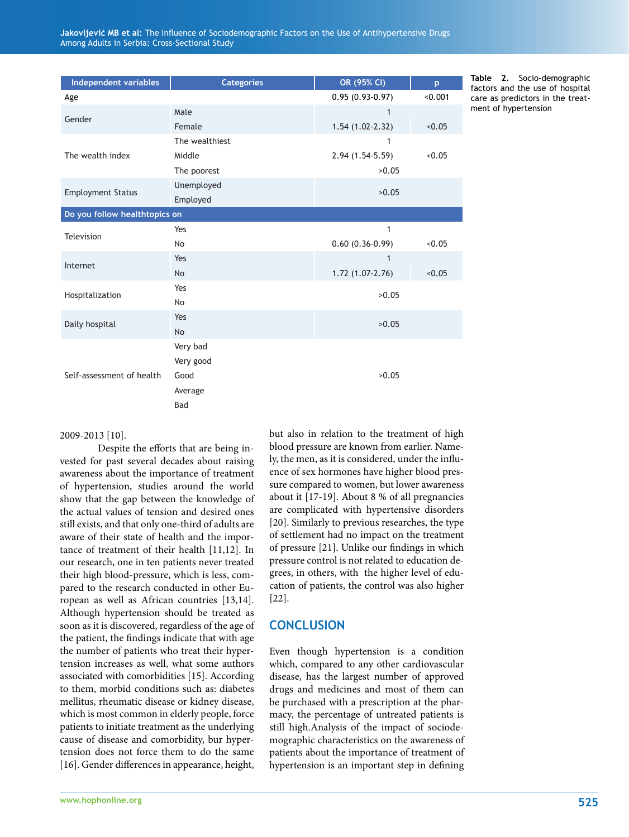| Independent variables         | <b>Categories</b> | OR (95% CI)       | p       |  |  |
|-------------------------------|-------------------|-------------------|---------|--|--|
| Age                           |                   | $0.95(0.93-0.97)$ | < 0.001 |  |  |
| Gender                        | Male              | $\mathbf{1}$      |         |  |  |
|                               | Female            | $1.54(1.02-2.32)$ | < 0.05  |  |  |
| The wealth index              | The wealthiest    | 1                 |         |  |  |
|                               | Middle            | 2.94 (1.54-5.59)  | < 0.05  |  |  |
|                               | The poorest       | >0.05             |         |  |  |
| <b>Employment Status</b>      | Unemployed        | >0.05             |         |  |  |
|                               | Employed          |                   |         |  |  |
| Do you follow healthtopics on |                   |                   |         |  |  |
| Television                    | Yes               | 1                 |         |  |  |
|                               | No                | $0.60(0.36-0.99)$ | < 0.05  |  |  |
| Internet                      | Yes               | $\mathbf{1}$      |         |  |  |
|                               | <b>No</b>         | 1.72 (1.07-2.76)  | < 0.05  |  |  |
| Hospitalization               | Yes               | >0.05             |         |  |  |
|                               | No                |                   |         |  |  |
| Daily hospital                | Yes               | >0.05             |         |  |  |
|                               | No                |                   |         |  |  |
| Self-assessment of health     | Very bad          |                   |         |  |  |
|                               | Very good         |                   |         |  |  |
|                               | Good              | >0.05             |         |  |  |
|                               | Average           |                   |         |  |  |
|                               | Bad               |                   |         |  |  |

**Table 2.** Socio-demographic factors and the use of hospital care as predictors in the treatment of hypertension

#### 2009-2013 [10].

Despite the efforts that are being invested for past several decades about raising awareness about the importance of treatment of hypertension, studies around the world show that the gap between the knowledge of the actual values of tension and desired ones still exists, and that only one-third of adults are aware of their state of health and the importance of treatment of their health [11,12]. In our research, one in ten patients never treated their high blood-pressure, which is less, compared to the research conducted in other European as well as African countries [13,14]. Although hypertension should be treated as soon as it is discovered, regardless of the age of the patient, the findings indicate that with age the number of patients who treat their hypertension increases as well, what some authors associated with comorbidities [15]. According to them, morbid conditions such as: diabetes mellitus, rheumatic disease or kidney disease, which is most common in elderly people, force patients to initiate treatment as the underlying cause of disease and comorbidity, bur hypertension does not force them to do the same [16]. Gender differences in appearance, height,

but also in relation to the treatment of high blood pressure are known from earlier. Namely, the men, as it is considered, under the influence of sex hormones have higher blood pressure compared to women, but lower awareness about it [17-19]. About 8 % of all pregnancies are complicated with hypertensive disorders [20]. Similarly to previous researches, the type of settlement had no impact on the treatment of pressure  $[21]$ . Unlike our findings in which pressure control is not related to education degrees, in others, with the higher level of education of patients, the control was also higher [22].

#### **CONCLUSION**

Even though hypertension is a condition which, compared to any other cardiovascular disease, has the largest number of approved drugs and medicines and most of them can be purchased with a prescription at the pharmacy, the percentage of untreated patients is still high.Analysis of the impact of sociodemographic characteristics on the awareness of patients about the importance of treatment of hypertension is an important step in defining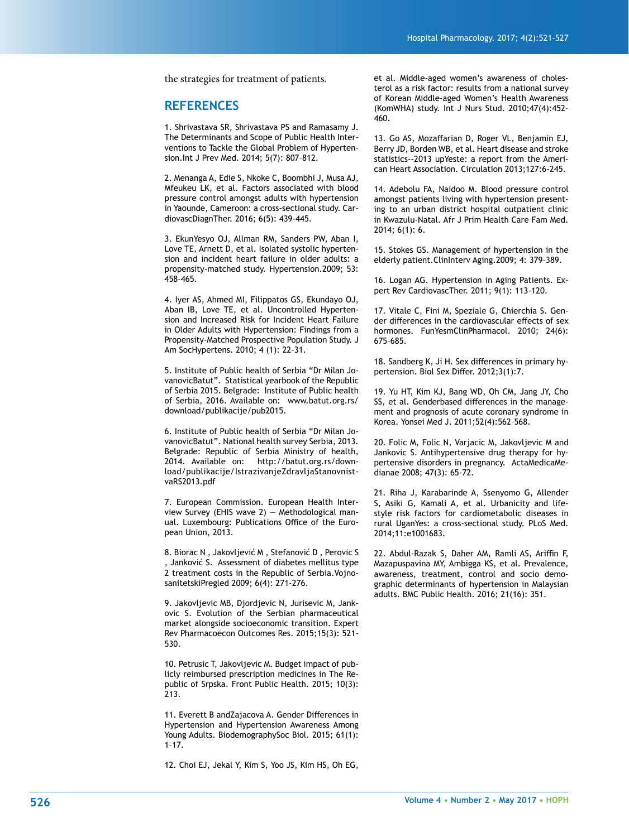the strategies for treatment of patients.

#### **REFERENCES**

1. Shrivastava SR, Shrivastava PS and Ramasamy J. The Determinants and Scope of Public Health Interventions to Tackle the Global Problem of Hypertension.Int J Prev Med. 2014; 5(7): 807–812.

2. Menanga A, Edie S, Nkoke C, Boombhi J, Musa AJ, Mfeukeu LK, et al. Factors associated with blood pressure control amongst adults with hypertension in Yaounde, Cameroon: a cross-sectional study. CardiovascDiagnTher. 2016; 6(5): 439-445.

3. EkunYesyo OJ, Allman RM, Sanders PW, Aban I, Love TE, Arnett D, et al. Isolated systolic hypertension and incident heart failure in older adults: a propensity-matched study. Hypertension.2009; 53: 458–465.

4. Iyer AS, Ahmed MI, Filippatos GS, Ekundayo OJ, Aban IB, Love TE, et al. Uncontrolled Hypertension and Increased Risk for Incident Heart Failure in Older Adults with Hypertension: Findings from a Propensity-Matched Prospective Population Study. J Am SocHypertens. 2010; 4 (1): 22-31.

5. Institute of Public health of Serbia "Dr Milan JovanovicBatut". Statistical yearbook of the Republic of Serbia 2015. Belgrade: Institute of Public health of Serbia, 2016. Available on: www.batut.org.rs/ download/publikacije/pub2015.

6. Institute of Public health of Serbia "Dr Milan JovanovicBatut". National health survey Serbia, 2013. Belgrade: Republic of Serbia Ministry of health, 2014. Available on: http://batut.org.rs/download/publikacije/IstrazivanjeZdravljaStanovnistvaRS2013.pdf

7. European Commission. European Health Interview Survey (EHIS wave 2) — Methodological manual. Luxembourg: Publications Office of the European Union, 2013.

8. Biorac N , Jakovljević M , Stefanović D , Perovic S , Janković S. Assessment of diabetes mellitus type 2 treatment costs in the Republic of Serbia.VojnosanitetskiPregled 2009; 6(4): 271-276.

9. Jakovljevic MB, Djordjevic N, Jurisevic M, Jankovic S. Evolution of the Serbian pharmaceutical market alongside socioeconomic transition. Expert Rev Pharmacoecon Outcomes Res. 2015;15(3): 521- 530.

10. Petrusic T, Jakovljevic M. Budget impact of publicly reimbursed prescription medicines in The Republic of Srpska. Front Public Health. 2015; 10(3): 213.

11. Everett B andZajacova A. Gender Differences in Hypertension and Hypertension Awareness Among Young Adults. BiodemographySoc Biol. 2015; 61(1): 1–17.

12. Choi EJ, Jekal Y, Kim S, Yoo JS, Kim HS, Oh EG,

et al. Middle-aged women's awareness of cholesterol as a risk factor: results from a national survey of Korean Middle-aged Women's Health Awareness (KomWHA) study. Int J Nurs Stud. 2010;47(4):452– 460.

13. Go AS, Mozaffarian D, Roger VL, Benjamin EJ, Berry JD, Borden WB, et al. Heart disease and stroke statistics--2013 upYeste: a report from the American Heart Association. Circulation 2013;127:6-245.

14. Adebolu FA, Naidoo M. Blood pressure control amongst patients living with hypertension presenting to an urban district hospital outpatient clinic in Kwazulu-Natal. Afr J Prim Health Care Fam Med. 2014; 6(1): 6.

15. Stokes GS. Management of hypertension in the elderly patient.ClinInterv Aging.2009; 4: 379–389.

16. Logan AG. Hypertension in Aging Patients. Expert Rev CardiovascTher. 2011; 9(1): 113-120.

17. Vitale C, Fini M, Speziale G, Chierchia S. Gender differences in the cardiovascular effects of sex hormones. FunYesmClinPharmacol. 2010; 24(6): 675–685.

18. Sandberg K, Ji H. Sex differences in primary hypertension. Biol Sex Differ. 2012;3(1):7.

19. Yu HT, Kim KJ, Bang WD, Oh CM, Jang JY, Cho SS, et al. Genderbased differences in the management and prognosis of acute coronary syndrome in Korea. Yonsei Med J. 2011;52(4):562–568.

20. Folic M, Folic N, Varjacic M, Jakovljevic M and Jankovic S. Antihypertensive drug therapy for hypertensive disorders in pregnancy. ActaMedicaMedianae 2008; 47(3): 65-72.

21. Riha J, Karabarinde A, Ssenyomo G, Allender S, Asiki G, Kamali A, et al. Urbanicity and lifestyle risk factors for cardiometabolic diseases in rural UganYes: a cross-sectional study. PLoS Med. 2014;11:e1001683.

22. Abdul-Razak S, Daher AM, Ramli AS, Ariffin F, Mazapuspavina MY, Ambigga KS, et al. Prevalence, awareness, treatment, control and socio demographic determinants of hypertension in Malaysian adults. BMC Public Health. 2016; 21(16): 351.